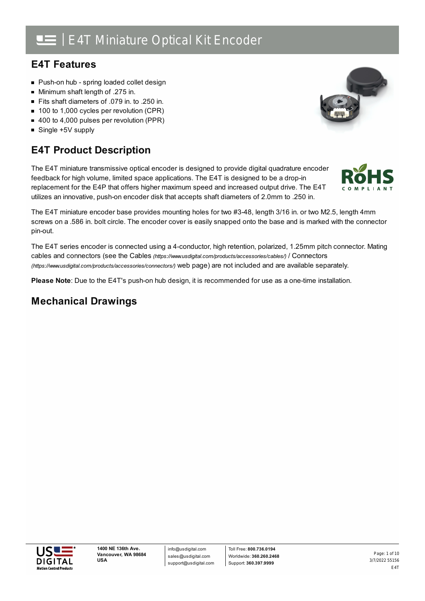# **E4T Features**

- **Push-on hub spring loaded collet design**
- Minimum shaft length of .275 in.
- Fits shaft diameters of .079 in. to .250 in.
- 100 to 1,000 cycles per revolution (CPR)
- 400 to 4,000 pulses per revolution (PPR)
- Single +5V supply

# **E4T Product Description**

The E4T miniature transmissive optical encoder is designed to provide digital quadrature encoder feedback for high volume, limited space applications. The E4T is designed to be a drop-in replacement for the E4P that offers higher maximum speed and increased output drive. The E4T utilizes an innovative, push-on encoder disk that accepts shaft diameters of 2.0mm to .250 in.

The E4T miniature encoder base provides mounting holes for two #3-48, length 3/16 in. or two M2.5, length 4mm screws on a .586 in. bolt circle. The encoder cover is easily snapped onto the base and is marked with the connector pin-out.

The E4T series encoder is connected using a 4-conductor, high retention, polarized, 1.25mm pitch connector. Mating cables and connectors (see the Cables *[\(https://www.usdigital.com/products/accessories/cables/\)](https://www.usdigital.com/products/accessories/cables/)* / Connectors *(https://www.usdigital.com/products/accessories/connectors/)* web page) are not included and are available separately.

**Please Note**: Due to the E4T's push-on hub design, it is recommended for use as a one-time installation.

# **Mechanical Drawings**



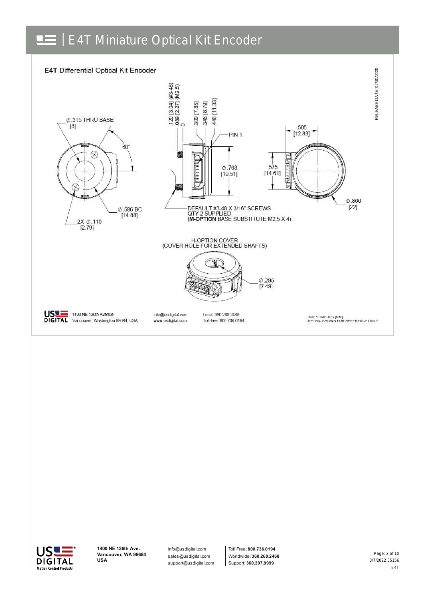



info@usdigital.com sales@usdigital.com support@usdigital.com

Toll Free: **800.736.0194** Worldwide: **360.260.2468** Support: **360.397.9999**

3/7/2022 55156 E4T Page: 2 of 10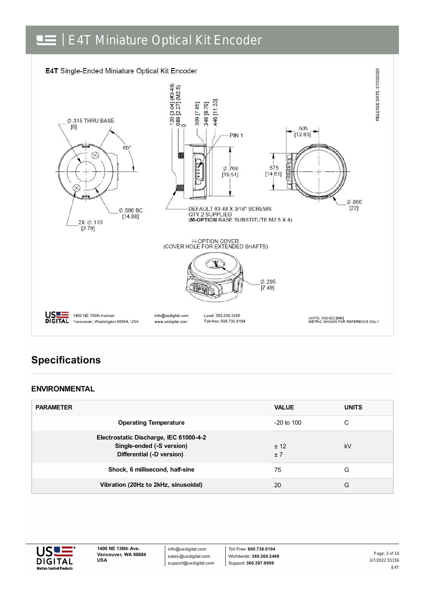

# **Specifications**

## **ENVIRONMENTAL**

| <b>PARAMETER</b>                                                                                 | <b>VALUE</b>   | <b>UNITS</b> |
|--------------------------------------------------------------------------------------------------|----------------|--------------|
| <b>Operating Temperature</b>                                                                     | $-20$ to $100$ | С            |
| Electrostatic Discharge, IEC 61000-4-2<br>Single-ended (-S version)<br>Differential (-D version) | ± 12<br>±7     | kV           |
| Shock, 6 millisecond, half-sine                                                                  | 75             | G            |
| Vibration (20Hz to 2kHz, sinusoidal)                                                             | 20             | G            |



info@usdigital.com sales@usdigital.com support@usdigital.com

Toll Free: **800.736.0194** Worldwide: **360.260.2468** Support: **360.397.9999**

3/7/2022 55156 E4T Page: 3 of 10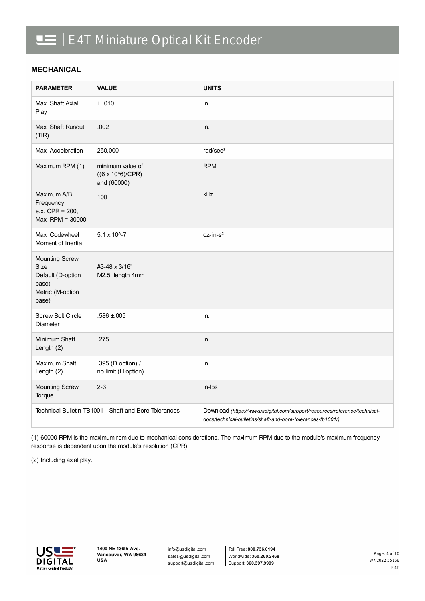## **MECHANICAL**

| <b>PARAMETER</b>                                                                         | <b>VALUE</b>                                                 | <b>UNITS</b>                                                                                                                              |
|------------------------------------------------------------------------------------------|--------------------------------------------------------------|-------------------------------------------------------------------------------------------------------------------------------------------|
| Max. Shaft Axial<br>Play                                                                 | ±.010                                                        | in.                                                                                                                                       |
| Max. Shaft Runout<br>(TIR)                                                               | .002                                                         | in.                                                                                                                                       |
| Max. Acceleration                                                                        | 250,000                                                      | rad/sec <sup>2</sup>                                                                                                                      |
| Maximum RPM (1)                                                                          | minimum value of<br>$((6 \times 10^{6})/CPR)$<br>and (60000) | <b>RPM</b>                                                                                                                                |
| Maximum A/B<br>Frequency<br>e.x. $CPR = 200$ ,<br>Max. RPM = 30000                       | 100                                                          | kHz                                                                                                                                       |
| Max. Codewheel<br>Moment of Inertia                                                      | $5.1 \times 10^{-7}$                                         | oz-in-s <sup>2</sup>                                                                                                                      |
| <b>Mounting Screw</b><br>Size<br>Default (D-option<br>base)<br>Metric (M-option<br>base) | #3-48 x 3/16"<br>M2.5, length 4mm                            |                                                                                                                                           |
| <b>Screw Bolt Circle</b><br><b>Diameter</b>                                              | $.586 \pm 0.005$                                             | in.                                                                                                                                       |
| Minimum Shaft<br>Length (2)                                                              | .275                                                         | in.                                                                                                                                       |
| Maximum Shaft<br>Length (2)                                                              | .395 (D option) /<br>no limit (H option)                     | in.                                                                                                                                       |
| <b>Mounting Screw</b><br>Torque                                                          | $2 - 3$                                                      | in-lbs                                                                                                                                    |
|                                                                                          | Technical Bulletin TB1001 - Shaft and Bore Tolerances        | Download (https://www.usdigital.com/support/resources/reference/technical-<br>docs/technical-bulletins/shaft-and-bore-tolerances-tb1001/) |

(1) 60000 RPM is the maximum rpm due to mechanical considerations. The maximum RPM due to the module's maximum frequency response is dependent upon the module's resolution (CPR).

(2) Including axial play.



info@usdigital.com sales@usdigital.com support@usdigital.com

Toll Free: **800.736.0194** Worldwide: **360.260.2468** Support: **360.397.9999**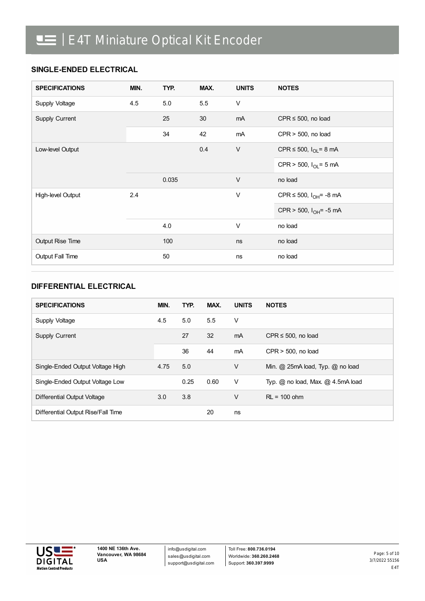## **SINGLE-ENDED ELECTRICAL**

| <b>SPECIFICATIONS</b> | MIN. | TYP.  | MAX. | <b>UNITS</b> | <b>NOTES</b>                |
|-----------------------|------|-------|------|--------------|-----------------------------|
| Supply Voltage        | 4.5  | 5.0   | 5.5  | $\vee$       |                             |
| Supply Current        |      | 25    | 30   | mA           | $CPR \le 500$ , no load     |
|                       |      | 34    | 42   | mA           | $CPR > 500$ , no load       |
| Low-level Output      |      |       | 0.4  | $\vee$       | CPR ≤ 500, $I_{OL}$ = 8 mA  |
|                       |      |       |      |              | CPR > 500, $I_{OL} = 5$ mA  |
|                       |      | 0.035 |      | $\vee$       | no load                     |
| High-level Output     | 2.4  |       |      | $\vee$       | CPR ≤ 500, $I_{OH}$ = -8 mA |
|                       |      |       |      |              | CPR > 500, $I_{OH}$ = -5 mA |
|                       |      | 4.0   |      | $\vee$       | no load                     |
| Output Rise Time      |      | 100   |      | ns           | no load                     |
| Output Fall Time      |      | 50    |      | ns           | no load                     |

## **DIFFERENTIAL ELECTRICAL**

| <b>SPECIFICATIONS</b>              | MIN. | TYP. | MAX. | <b>UNITS</b>   | <b>NOTES</b>                          |
|------------------------------------|------|------|------|----------------|---------------------------------------|
| Supply Voltage                     | 4.5  | 5.0  | 5.5  | $\vee$         |                                       |
| <b>Supply Current</b>              |      | 27   | 32   | m <sub>A</sub> | $CPR \le 500$ , no load               |
|                                    |      | 36   | 44   | mA             | $CPR > 500$ , no load                 |
| Single-Ended Output Voltage High   | 4.75 | 5.0  |      | V              | Min. @ 25mA load, Typ. @ no load      |
| Single-Ended Output Voltage Low    |      | 0.25 | 0.60 | V              | Typ. $@$ no load, Max. $@$ 4.5mA load |
| Differential Output Voltage        | 3.0  | 3.8  |      | V              | $RL = 100$ ohm                        |
| Differential Output Rise/Fall Time |      |      | 20   | ns             |                                       |

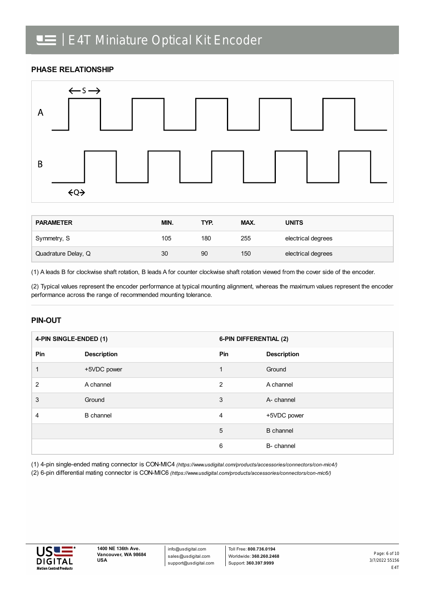## **PHASE RELATIONSHIP**



| <b>PARAMETER</b>    | MIN. | TYP. | MAX. | UNITS              |
|---------------------|------|------|------|--------------------|
| Symmetry, S         | 105  | 180  | 255  | electrical degrees |
| Quadrature Delay, Q | 30   | 90   | 150  | electrical degrees |

(1) A leads B for clockwise shaft rotation, B leads A for counter clockwise shaft rotation viewed from the cover side of the encoder.

(2) Typical values represent the encoder performance at typical mounting alignment, whereas the maximum values represent the encoder performance across the range of recommended mounting tolerance.

#### **PIN-OUT**

| 4-PIN SINGLE-ENDED (1) |                    | 6-PIN DIFFERENTIAL (2) |                    |
|------------------------|--------------------|------------------------|--------------------|
| Pin                    | <b>Description</b> | Pin                    | <b>Description</b> |
|                        | +5VDC power        | 1                      | Ground             |
| 2                      | A channel          | $\overline{2}$         | A channel          |
| 3                      | Ground             | 3                      | A- channel         |
| 4                      | <b>B</b> channel   | 4                      | +5VDC power        |
|                        |                    | 5                      | <b>B</b> channel   |
|                        |                    | 6                      | B- channel         |

(1) 4-pin single-ended mating connector is CON-MIC4 *[\(https://www.usdigital.com/products/accessories/connectors/con-mic4/\)](https://www.usdigital.com/products/accessories/connectors/con-mic4/)*

(2) 6-pin differential mating connector is CON-MIC6 *[\(https://www.usdigital.com/products/accessories/connectors/con-mic6/\)](https://www.usdigital.com/products/accessories/connectors/con-mic6/)*



info@usdigital.com sales@usdigital.com support@usdigital.com

Toll Free: **800.736.0194** Worldwide: **360.260.2468** Support: **360.397.9999**

3/7/2022 55156 E4T Page: 6 of 10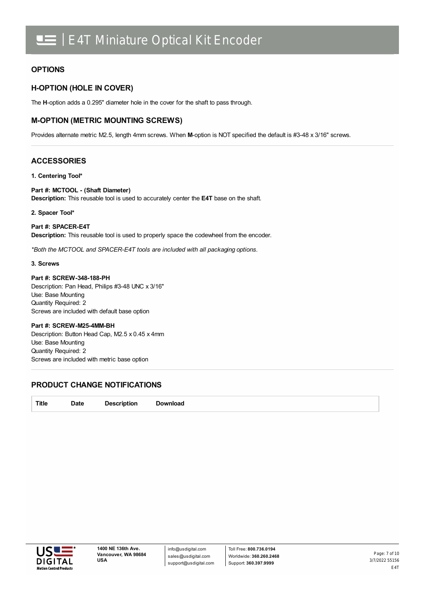### **OPTIONS**

## **H-OPTION (HOLE IN COVER)**

The **H**-option adds a 0.295" diameter hole in the cover for the shaft to pass through.

### **M-OPTION (METRIC MOUNTING SCREWS)**

Provides alternate metric M2.5, length 4mm screws. When **M**-option is NOT specified the default is #3-48 x 3/16" screws.

## **ACCESSORIES**

**1. Centering Tool\***

**Part #: MCTOOL - (Shaft Diameter) Description:** This reusable tool is used to accurately center the **E4T** base on the shaft.

#### **2. Spacer Tool\***

#### **Part #: SPACER-E4T**

**Description:** This reusable tool is used to properly space the codewheel from the encoder.

*\*Both the MCTOOL and SPACER-E4T tools are included with all packaging options.*

#### **3. Screws**

**Part #: SCREW-348-188-PH** Description: Pan Head, Philips #3-48 UNC x 3/16" Use: Base Mounting Quantity Required: 2 Screws are included with default base option

**Part #: SCREW-M25-4MM-BH** Description: Button Head Cap, M2.5 x 0.45 x 4mm Use: Base Mounting Quantity Required: 2 Screws are included with metric base option

## **PRODUCT CHANGE NOTIFICATIONS**

**Title Date Description Download**

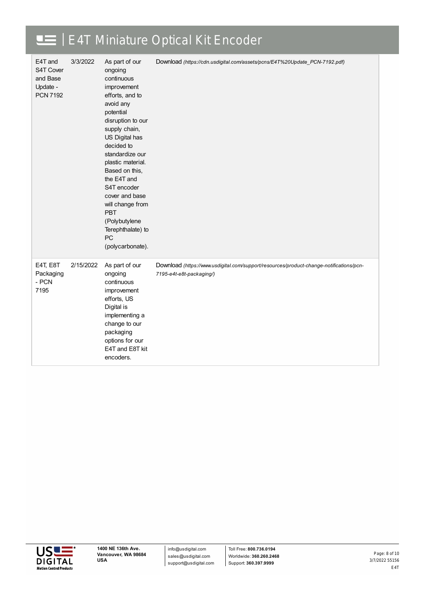| E4T and<br>S4T Cover<br>and Base<br>Update -<br><b>PCN 7192</b> | 3/3/2022  | As part of our<br>ongoing<br>continuous<br>improvement<br>efforts, and to<br>avoid any<br>potential<br>disruption to our<br>supply chain,<br>US Digital has<br>decided to<br>standardize our<br>plastic material.<br>Based on this,<br>the E4T and<br>S4T encoder<br>cover and base<br>will change from<br><b>PBT</b><br>(Polybutylene<br>Terephthalate) to<br>PC<br>(polycarbonate). | Download (https://cdn.usdigital.com/assets/pcns/E4T%20Update_PCN-7192.pdf)                                          |
|-----------------------------------------------------------------|-----------|---------------------------------------------------------------------------------------------------------------------------------------------------------------------------------------------------------------------------------------------------------------------------------------------------------------------------------------------------------------------------------------|---------------------------------------------------------------------------------------------------------------------|
| E4T, E8T<br>Packaging<br>- PCN<br>7195                          | 2/15/2022 | As part of our<br>ongoing<br>continuous<br>improvement<br>efforts, US<br>Digital is<br>implementing a<br>change to our<br>packaging<br>options for our<br>E4T and E8T kit<br>encoders.                                                                                                                                                                                                | Download (https://www.usdigital.com/support/resources/product-change-notifications/pcn-<br>7195-e4t-e8t-packaging/) |



info@usdigital.com sales@usdigital.com support@usdigital.com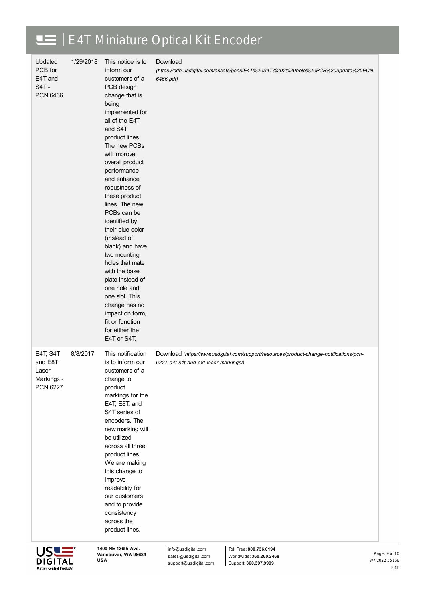| Updated<br>PCB for<br>E4T and<br>$S4T -$<br><b>PCN 6466</b>   | 1/29/2018 | This notice is to<br>inform our<br>customers of a<br>PCB design<br>change that is<br>being<br>implemented for<br>all of the E4T<br>and S4T<br>product lines.<br>The new PCBs<br>will improve<br>overall product<br>performance<br>and enhance<br>robustness of<br>these product<br>lines. The new<br>PCBs can be<br>identified by<br>their blue color<br>(instead of<br>black) and have<br>two mounting<br>holes that mate<br>with the base<br>plate instead of<br>one hole and<br>one slot. This<br>change has no<br>impact on form,<br>fit or function<br>for either the<br>E4T or S4T. | Download<br>(https://cdn.usdigital.com/assets/pcns/E4T%20S4T%202%20hole%20PCB%20update%20PCN-<br>6466.pdf)                       |  |
|---------------------------------------------------------------|-----------|-------------------------------------------------------------------------------------------------------------------------------------------------------------------------------------------------------------------------------------------------------------------------------------------------------------------------------------------------------------------------------------------------------------------------------------------------------------------------------------------------------------------------------------------------------------------------------------------|----------------------------------------------------------------------------------------------------------------------------------|--|
| E4T, S4T<br>and E8T<br>Laser<br>Markings -<br><b>PCN 6227</b> | 8/8/2017  | This notification<br>is to inform our<br>customers of a<br>change to<br>product<br>markings for the<br>E4T, E8T, and<br>S4T series of<br>encoders. The<br>new marking will<br>be utilized<br>across all three<br>product lines.<br>We are making<br>this change to<br>improve<br>readability for<br>our customers<br>and to provide<br>consistency<br>across the<br>product lines.                                                                                                                                                                                                        | Download (https://www.usdigital.com/support/resources/product-change-notifications/pcn-<br>6227-e4t-s4t-and-e8t-laser-markings/) |  |